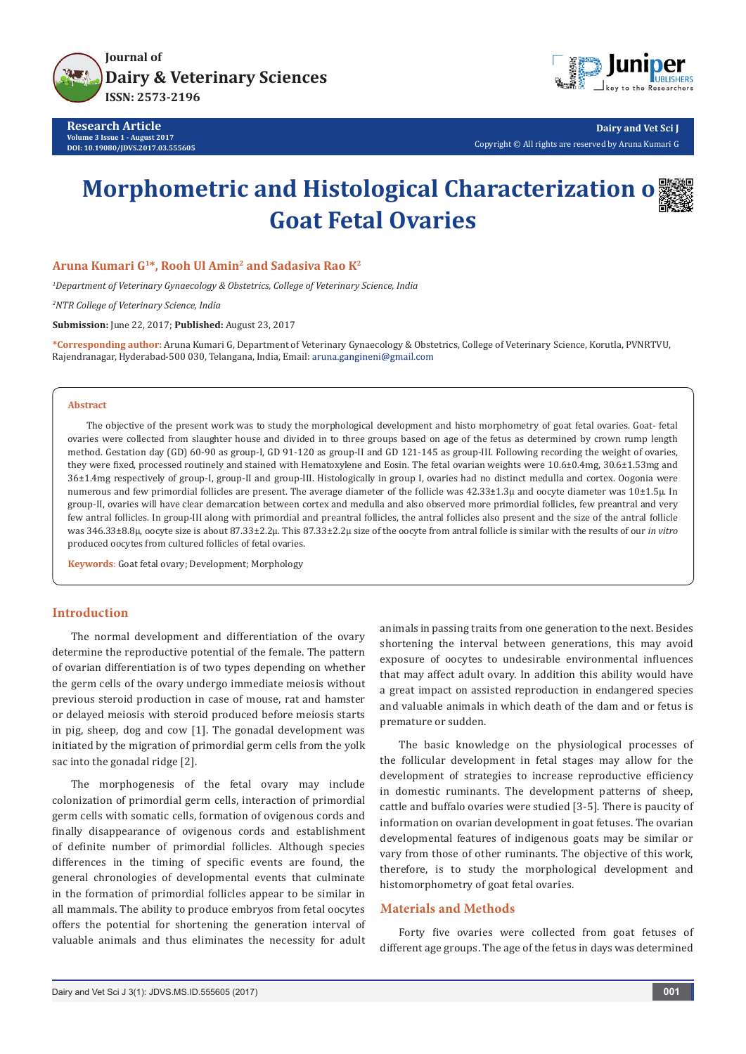

**Research Article Volume 3 Issue 1 - August 2017 DOI: [10.19080/JDVS.2017.03.555605](http://dx.doi.org/10.19080/JDVS.2017.03.555605)**



**Dairy and Vet Sci J** Copyright © All rights are reserved by Aruna Kumari G

# **Morphometric and Histological Characterization o Goat Fetal Ovaries**



## **Aruna Kumari G1\*, Rooh Ul Amin2 and Sadasiva Rao K2**

*1 Department of Veterinary Gynaecology & Obstetrics, College of Veterinary Science, India*

*2 NTR College of Veterinary Science, India* 

**Submission:** June 22, 2017; **Published:** August 23, 2017

**\*Corresponding author:** Aruna Kumari G, Department of Veterinary Gynaecology & Obstetrics, College of Veterinary Science, Korutla, PVNRTVU, Rajendranagar, Hyderabad-500 030, Telangana, India, Email:

### **Abstract**

The objective of the present work was to study the morphological development and histo morphometry of goat fetal ovaries. Goat- fetal ovaries were collected from slaughter house and divided in to three groups based on age of the fetus as determined by crown rump length method. Gestation day (GD) 60-90 as group-I, GD 91-120 as group-II and GD 121-145 as group-III. Following recording the weight of ovaries, they were fixed, processed routinely and stained with Hematoxylene and Eosin. The fetal ovarian weights were 10.6±0.4mg, 30.6±1.53mg and 36±1.4mg respectively of group-I, group-II and group-III. Histologically in group I, ovaries had no distinct medulla and cortex. Oogonia were numerous and few primordial follicles are present. The average diameter of the follicle was 42.33±1.3μ and oocyte diameter was 10±1.5μ. In group-II, ovaries will have clear demarcation between cortex and medulla and also observed more primordial follicles, few preantral and very few antral follicles. In group-III along with primordial and preantral follicles, the antral follicles also present and the size of the antral follicle was 346.33±8.8µ, oocyte size is about 87.33±2.2µ. This 87.33±2.2µ size of the oocyte from antral follicle is similar with the results of our *in vitro* produced oocytes from cultured follicles of fetal ovaries.

**Keywords**: Goat fetal ovary; Development; Morphology

## **Introduction**

The normal development and differentiation of the ovary determine the reproductive potential of the female. The pattern of ovarian differentiation is of two types depending on whether the germ cells of the ovary undergo immediate meiosis without previous steroid production in case of mouse, rat and hamster or delayed meiosis with steroid produced before meiosis starts in pig, sheep, dog and cow [1]. The gonadal development was initiated by the migration of primordial germ cells from the yolk sac into the gonadal ridge [2].

The morphogenesis of the fetal ovary may include colonization of primordial germ cells, interaction of primordial germ cells with somatic cells, formation of ovigenous cords and finally disappearance of ovigenous cords and establishment of definite number of primordial follicles. Although species differences in the timing of specific events are found, the general chronologies of developmental events that culminate in the formation of primordial follicles appear to be similar in all mammals. The ability to produce embryos from fetal oocytes offers the potential for shortening the generation interval of valuable animals and thus eliminates the necessity for adult

animals in passing traits from one generation to the next. Besides shortening the interval between generations, this may avoid exposure of oocytes to undesirable environmental influences that may affect adult ovary. In addition this ability would have a great impact on assisted reproduction in endangered species and valuable animals in which death of the dam and or fetus is premature or sudden.

The basic knowledge on the physiological processes of the follicular development in fetal stages may allow for the development of strategies to increase reproductive efficiency in domestic ruminants. The development patterns of sheep, cattle and buffalo ovaries were studied [3-5]. There is paucity of information on ovarian development in goat fetuses. The ovarian developmental features of indigenous goats may be similar or vary from those of other ruminants. The objective of this work, therefore, is to study the morphological development and histomorphometry of goat fetal ovaries.

## **Materials and Methods**

Forty five ovaries were collected from goat fetuses of different age groups. The age of the fetus in days was determined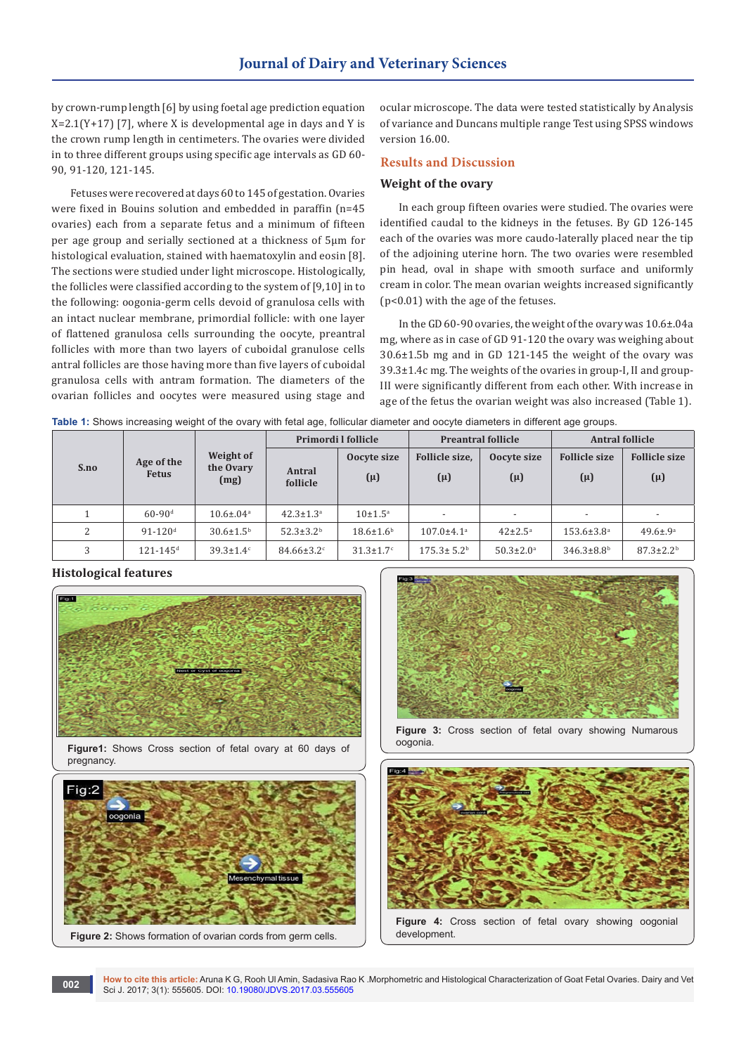by crown-rump length [6] by using foetal age prediction equation  $X=2.1(Y+17)$  [7], where X is developmental age in days and Y is the crown rump length in centimeters. The ovaries were divided in to three different groups using specific age intervals as GD 60- 90, 91-120, 121-145.

Fetuses were recovered at days 60 to 145 of gestation. Ovaries were fixed in Bouins solution and embedded in paraffin (n=45 ovaries) each from a separate fetus and a minimum of fifteen per age group and serially sectioned at a thickness of 5µm for histological evaluation, stained with haematoxylin and eosin [8]. The sections were studied under light microscope. Histologically, the follicles were classified according to the system of [9,10] in to the following: oogonia-germ cells devoid of granulosa cells with an intact nuclear membrane, primordial follicle: with one layer of flattened granulosa cells surrounding the oocyte, preantral follicles with more than two layers of cuboidal granulose cells antral follicles are those having more than five layers of cuboidal granulosa cells with antram formation. The diameters of the ovarian follicles and oocytes were measured using stage and ocular microscope. The data were tested statistically by Analysis of variance and Duncans multiple range Test using SPSS windows version 16.00.

## **Results and Discussion**

# **Weight of the ovary**

In each group fifteen ovaries were studied. The ovaries were identified caudal to the kidneys in the fetuses. By GD 126-145 each of the ovaries was more caudo-laterally placed near the tip of the adjoining uterine horn. The two ovaries were resembled pin head, oval in shape with smooth surface and uniformly cream in color. The mean ovarian weights increased significantly (p<0.01) with the age of the fetuses.

In the GD 60-90 ovaries, the weight of the ovary was 10.6±.04a mg, where as in case of GD 91-120 the ovary was weighing about 30.6±1.5b mg and in GD 121-145 the weight of the ovary was 39.3±1.4c mg. The weights of the ovaries in group-I, II and group-III were significantly different from each other. With increase in age of the fetus the ovarian weight was also increased (Table 1).

| Table 1: Shows increasing weight of the ovary with fetal age, follicular diameter and oocyte diameters in different age groups. |  |  |  |  |  |
|---------------------------------------------------------------------------------------------------------------------------------|--|--|--|--|--|
|---------------------------------------------------------------------------------------------------------------------------------|--|--|--|--|--|

|      |                            |                                | Primordi I follicle          |                             | <b>Preantral follicle</b>    |                             | <b>Antral follicle</b>          |                                 |
|------|----------------------------|--------------------------------|------------------------------|-----------------------------|------------------------------|-----------------------------|---------------------------------|---------------------------------|
| S.no | Age of the<br><b>Fetus</b> | Weight of<br>the Ovary<br>(mg) | Antral<br>follicle           | Oocyte size<br>$(\mu)$      | Follicle size,<br>$(\mu)$    | Oocyte size<br>$(\mu)$      | <b>Follicle size</b><br>$(\mu)$ | <b>Follicle size</b><br>$(\mu)$ |
|      | $60 - 90$ <sup>d</sup>     | $10.6 \pm 0.04$ <sup>a</sup>   | $42.3 \pm 1.3^a$             | $10 \pm 1.5^{\text{a}}$     |                              |                             | $\overline{\phantom{a}}$        |                                 |
| 2    | $91 - 120$ <sup>d</sup>    | $30.6 \pm 1.5^{\rm b}$         | $52.3 \pm 3.2^{\rm b}$       | $18.6 \pm 1.6^{\rm b}$      | $107.0 \pm 4.1$ <sup>a</sup> | $42 \pm 2.5^{\circ}$        | $153.6 \pm 3.8^{\circ}$         | $49.6 \pm .9^{\circ}$           |
| 3    | $121 - 145$ <sup>d</sup>   | $39.3 \pm 1.4$ <sup>c</sup>    | $84.66 \pm 3.2$ <sup>c</sup> | $31.3 \pm 1.7$ <sup>c</sup> | $175.3 \pm 5.2^{\rm b}$      | $50.3 \pm 2.0$ <sup>a</sup> | $346.3 \pm 8.8$ <sup>b</sup>    | $87.3 \pm 2.2^b$                |

## **Histological features**



**Figure1:** Shows Cross section of fetal ovary at 60 days of pregnancy.





**Figure 3:** Cross section of fetal ovary showing Numarous oogonia.



**How to cite this article:** Aruna K G, Rooh Ul Amin, Sadasiva Rao K .Morphometric and Histological Characterization of Goat Fetal Ovaries. Dairy and Vet Sci J. 2017; 3(1): 555605. DOI: [10.19080/JDVS.2017.03.555605](http://dx.doi.org/10.19080/JDVS.2017.03.555605) **<sup>002</sup>**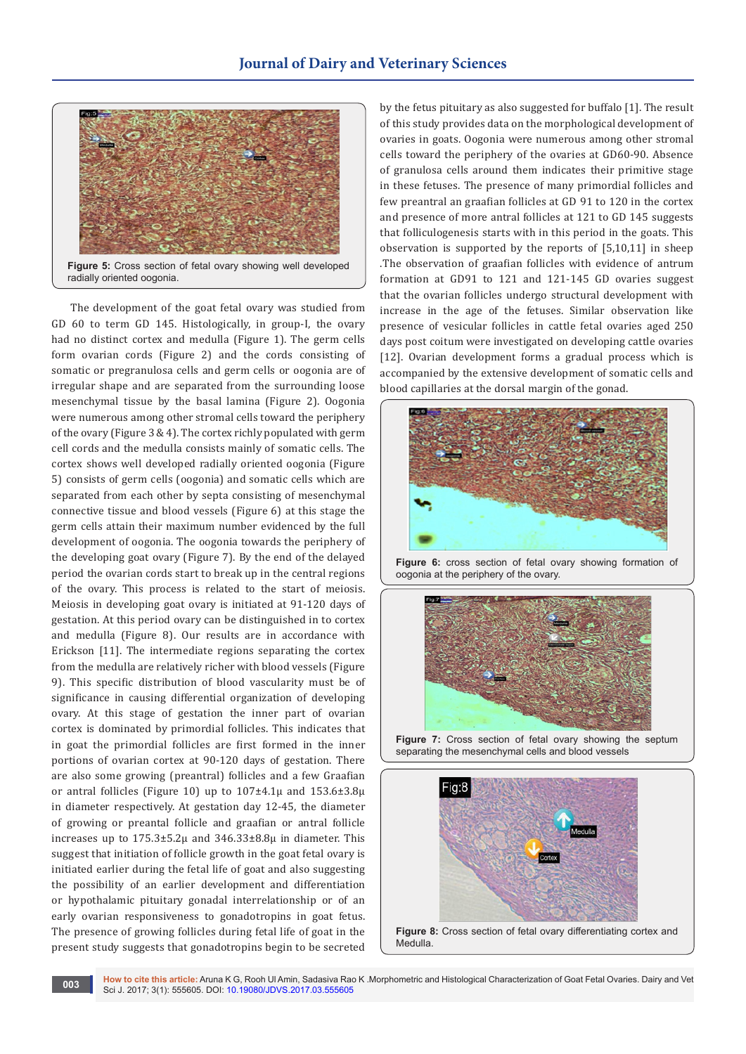

The development of the goat fetal ovary was studied from GD 60 to term GD 145. Histologically, in group-I, the ovary had no distinct cortex and medulla (Figure 1). The germ cells form ovarian cords (Figure 2) and the cords consisting of somatic or pregranulosa cells and germ cells or oogonia are of irregular shape and are separated from the surrounding loose mesenchymal tissue by the basal lamina (Figure 2). Oogonia were numerous among other stromal cells toward the periphery of the ovary (Figure 3 & 4). The cortex richly populated with germ cell cords and the medulla consists mainly of somatic cells. The cortex shows well developed radially oriented oogonia (Figure 5) consists of germ cells (oogonia) and somatic cells which are separated from each other by septa consisting of mesenchymal connective tissue and blood vessels (Figure 6) at this stage the germ cells attain their maximum number evidenced by the full development of oogonia. The oogonia towards the periphery of the developing goat ovary (Figure 7). By the end of the delayed period the ovarian cords start to break up in the central regions of the ovary. This process is related to the start of meiosis. Meiosis in developing goat ovary is initiated at 91-120 days of gestation. At this period ovary can be distinguished in to cortex and medulla (Figure 8). Our results are in accordance with Erickson [11]. The intermediate regions separating the cortex from the medulla are relatively richer with blood vessels (Figure 9). This specific distribution of blood vascularity must be of significance in causing differential organization of developing ovary. At this stage of gestation the inner part of ovarian cortex is dominated by primordial follicles. This indicates that in goat the primordial follicles are first formed in the inner portions of ovarian cortex at 90-120 days of gestation. There are also some growing (preantral) follicles and a few Graafian or antral follicles (Figure 10) up to  $107\pm4.1\mu$  and  $153.6\pm3.8\mu$ in diameter respectively. At gestation day 12-45, the diameter of growing or preantal follicle and graafian or antral follicle increases up to 175.3±5.2µ and 346.33±8.8µ in diameter. This suggest that initiation of follicle growth in the goat fetal ovary is initiated earlier during the fetal life of goat and also suggesting the possibility of an earlier development and differentiation or hypothalamic pituitary gonadal interrelationship or of an early ovarian responsiveness to gonadotropins in goat fetus. The presence of growing follicles during fetal life of goat in the present study suggests that gonadotropins begin to be secreted

by the fetus pituitary as also suggested for buffalo [1]. The result of this study provides data on the morphological development of ovaries in goats. Oogonia were numerous among other stromal cells toward the periphery of the ovaries at GD60-90. Absence of granulosa cells around them indicates their primitive stage in these fetuses. The presence of many primordial follicles and few preantral an graafian follicles at GD 91 to 120 in the cortex and presence of more antral follicles at 121 to GD 145 suggests that folliculogenesis starts with in this period in the goats. This observation is supported by the reports of [5,10,11] in sheep .The observation of graafian follicles with evidence of antrum formation at GD91 to 121 and 121-145 GD ovaries suggest that the ovarian follicles undergo structural development with increase in the age of the fetuses. Similar observation like presence of vesicular follicles in cattle fetal ovaries aged 250 days post coitum were investigated on developing cattle ovaries [12]. Ovarian development forms a gradual process which is accompanied by the extensive development of somatic cells and blood capillaries at the dorsal margin of the gonad.



**Figure 6:** cross section of fetal ovary showing formation of oogonia at the periphery of the ovary.



**Figure 7:** Cross section of fetal ovary showing the septum separating the mesenchymal cells and blood vessels

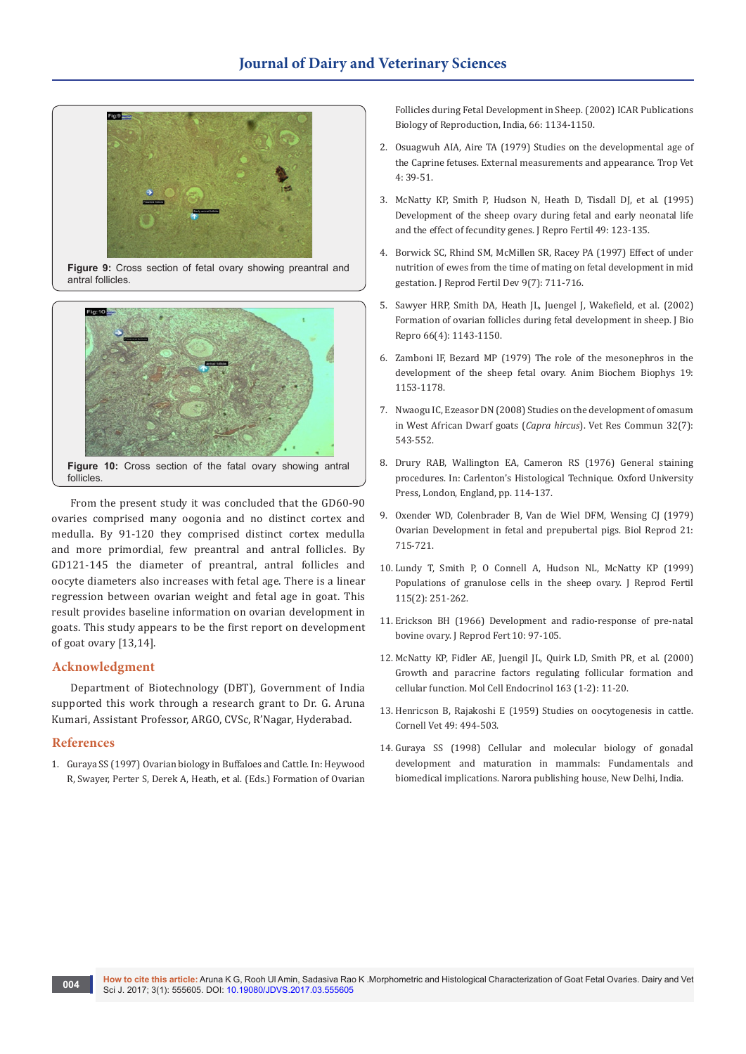

**Figure 9:** Cross section of fetal ovary showing preantral and antral follicles.



From the present study it was concluded that the GD60-90 ovaries comprised many oogonia and no distinct cortex and medulla. By 91-120 they comprised distinct cortex medulla and more primordial, few preantral and antral follicles. By GD121-145 the diameter of preantral, antral follicles and oocyte diameters also increases with fetal age. There is a linear regression between ovarian weight and fetal age in goat. This result provides baseline information on ovarian development in goats. This study appears to be the first report on development of goat ovary [13,14].

### **Acknowledgment**

Department of Biotechnology (DBT), Government of India supported this work through a research grant to Dr. G. Aruna Kumari, Assistant Professor, ARGO, CVSc, R'Nagar, Hyderabad.

### **References**

1. [Guraya SS \(1997\) Ovarian biology in Buffaloes and Cattle. In: Heywood](http://14.139.58.78/cgi-bin/koha/opac-detail.pl?biblionumber=13728&shelfbrowse_itemnumber=21672)  [R, Swayer, Perter S, Derek A, Heath, et al. \(Eds.\) Formation of Ovarian](http://14.139.58.78/cgi-bin/koha/opac-detail.pl?biblionumber=13728&shelfbrowse_itemnumber=21672) 

[Follicles during Fetal Development in Sheep. \(2002\) ICAR Publications](http://14.139.58.78/cgi-bin/koha/opac-detail.pl?biblionumber=13728&shelfbrowse_itemnumber=21672)  [Biology of Reproduction, India, 66: 1134-1150.](http://14.139.58.78/cgi-bin/koha/opac-detail.pl?biblionumber=13728&shelfbrowse_itemnumber=21672)

- 2. Osuagwuh AIA, Aire TA (1979) Studies on the developmental age of the Caprine fetuses. External measurements and appearance. Trop Vet 4: 39-51.
- 3. [McNatty KP, Smith P, Hudson N, Heath D, Tisdall DJ, et al. \(1995\)](http://europepmc.org/abstract/med/7623307)  [Development of the sheep ovary during fetal and early neonatal life](http://europepmc.org/abstract/med/7623307)  [and the effect of fecundity genes. J Repro Fertil 49: 123-135.](http://europepmc.org/abstract/med/7623307)
- 4. [Borwick SC, Rhind SM, McMillen SR, Racey PA \(1997\) Effect of under](http://www.publish.csiro.au/rd/R97011)  [nutrition of ewes from the time of mating on fetal development in mid](http://www.publish.csiro.au/rd/R97011)  [gestation. J Reprod Fertil Dev 9\(7\): 711-716.](http://www.publish.csiro.au/rd/R97011)
- 5. [Sawyer HRP, Smith DA, Heath JL, Juengel J, Wakefield, et al. \(2002\)](http://www.bioone.org/doi/abs/10.1095/biolreprod66.4.1134)  [Formation of ovarian follicles during fetal development in sheep. J Bio](http://www.bioone.org/doi/abs/10.1095/biolreprod66.4.1134)  [Repro 66\(4\): 1143-1150.](http://www.bioone.org/doi/abs/10.1095/biolreprod66.4.1134)
- 6. Zamboni lF, Bezard MP (1979) The role of the mesonephros in the development of the sheep fetal ovary. Anim Biochem Biophys 19: 1153-1178.
- 7. [Nwaogu IC, Ezeasor DN \(2008\) Studies on the development of omasum](https://www.ncbi.nlm.nih.gov/pubmed/18461466)  [in West African Dwarf goats \(](https://www.ncbi.nlm.nih.gov/pubmed/18461466)*Capra hircus*). Vet Res Commun 32(7): [543-552.](https://www.ncbi.nlm.nih.gov/pubmed/18461466)
- 8. Drury RAB, Wallington EA, Cameron RS (1976) General staining procedures. In: Carlenton's Histological Technique. Oxford University Press, London, England, pp. 114-137.
- 9. Oxender WD, Colenbrader B, Van de Wiel DFM, Wensing CJ (1979) Ovarian Development in fetal and prepubertal pigs. Biol Reprod 21: 715-721.
- 10. [Lundy T, Smith P, O Connell A, Hudson NL, McNatty KP \(1999\)](https://www.ncbi.nlm.nih.gov/pubmed/10434930) [Populations of granulose cells in the sheep ovary. J Reprod Fertil](https://www.ncbi.nlm.nih.gov/pubmed/10434930)  [115\(2\): 251-262.](https://www.ncbi.nlm.nih.gov/pubmed/10434930)
- 11. [Erickson BH \(1966\) Development and radio-response of pre-natal](http://www.reproduction-online.org/content/11/1/97)  [bovine ovary. J Reprod Fert 10: 97-105.](http://www.reproduction-online.org/content/11/1/97)
- 12. [McNatty KP, Fidler AE, Juengil JL, Quirk LD, Smith PR, et al. \(2000\)](https://www.ncbi.nlm.nih.gov/pubmed/10963868)  [Growth and paracrine factors regulating follicular formation and](https://www.ncbi.nlm.nih.gov/pubmed/10963868)  [cellular function. Mol Cell Endocrinol 163 \(1-2\): 11-20.](https://www.ncbi.nlm.nih.gov/pubmed/10963868)
- 13. [Henricson B, Rajakoshi E \(1959\) Studies on oocytogenesis in cattle.](https://www.ncbi.nlm.nih.gov/pubmed/14401095)  [Cornell Vet 49: 494-503.](https://www.ncbi.nlm.nih.gov/pubmed/14401095)
- 14. [Guraya SS \(1998\) Cellular and molecular biology of gonadal](http://opac.rjt.ac.lk/cgi-bin/koha/opac-detail.pl?biblionumber=36240)  [development and maturation in mammals: Fundamentals and](http://opac.rjt.ac.lk/cgi-bin/koha/opac-detail.pl?biblionumber=36240)  [biomedical implications. Narora publishing house, New Delhi, India.](http://opac.rjt.ac.lk/cgi-bin/koha/opac-detail.pl?biblionumber=36240)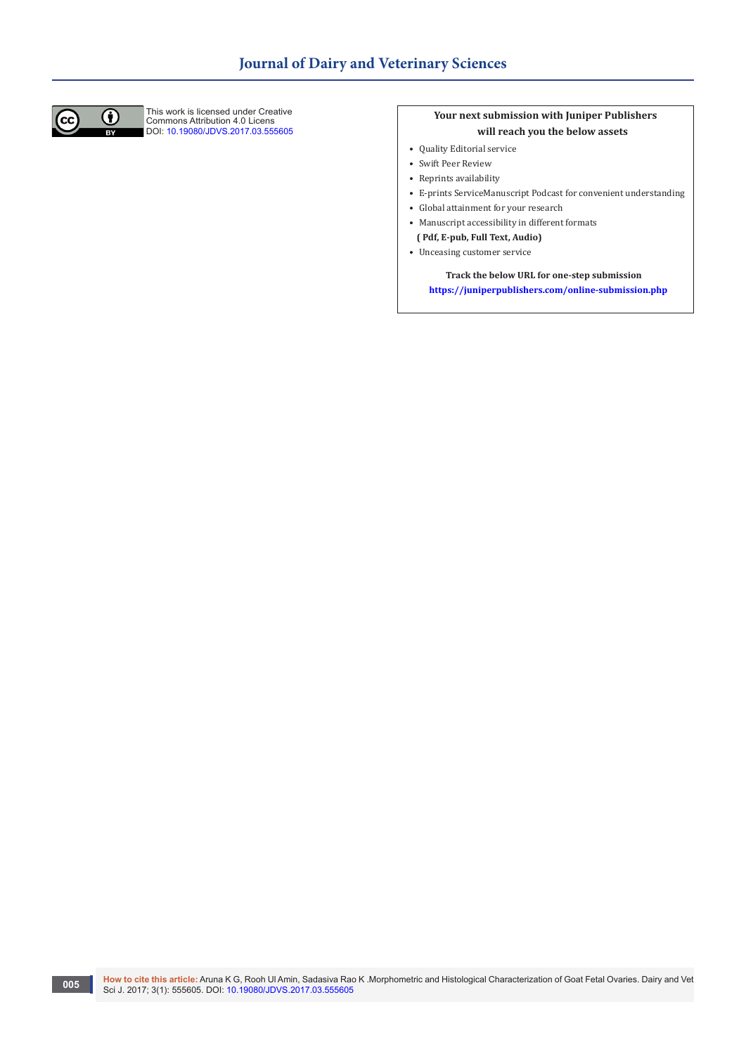

This work is licensed under Creative Commons Attribution 4.0 Licens DOI: [10.19080/JDVS.2017.03.555605](http://dx.doi.org/10.19080/JDVS.2017.03.555605)

# **Your next submission with Juniper Publishers will reach you the below assets**

- Quality Editorial service
- Swift Peer Review
- Reprints availability
- E-prints ServiceManuscript Podcast for convenient understanding
- Global attainment for your research
- Manuscript accessibility in different formats
- **( Pdf, E-pub, Full Text, Audio)**
- Unceasing customer service

 **Track the below URL for one-step submission <https://juniperpublishers.com/online-submission.php>**